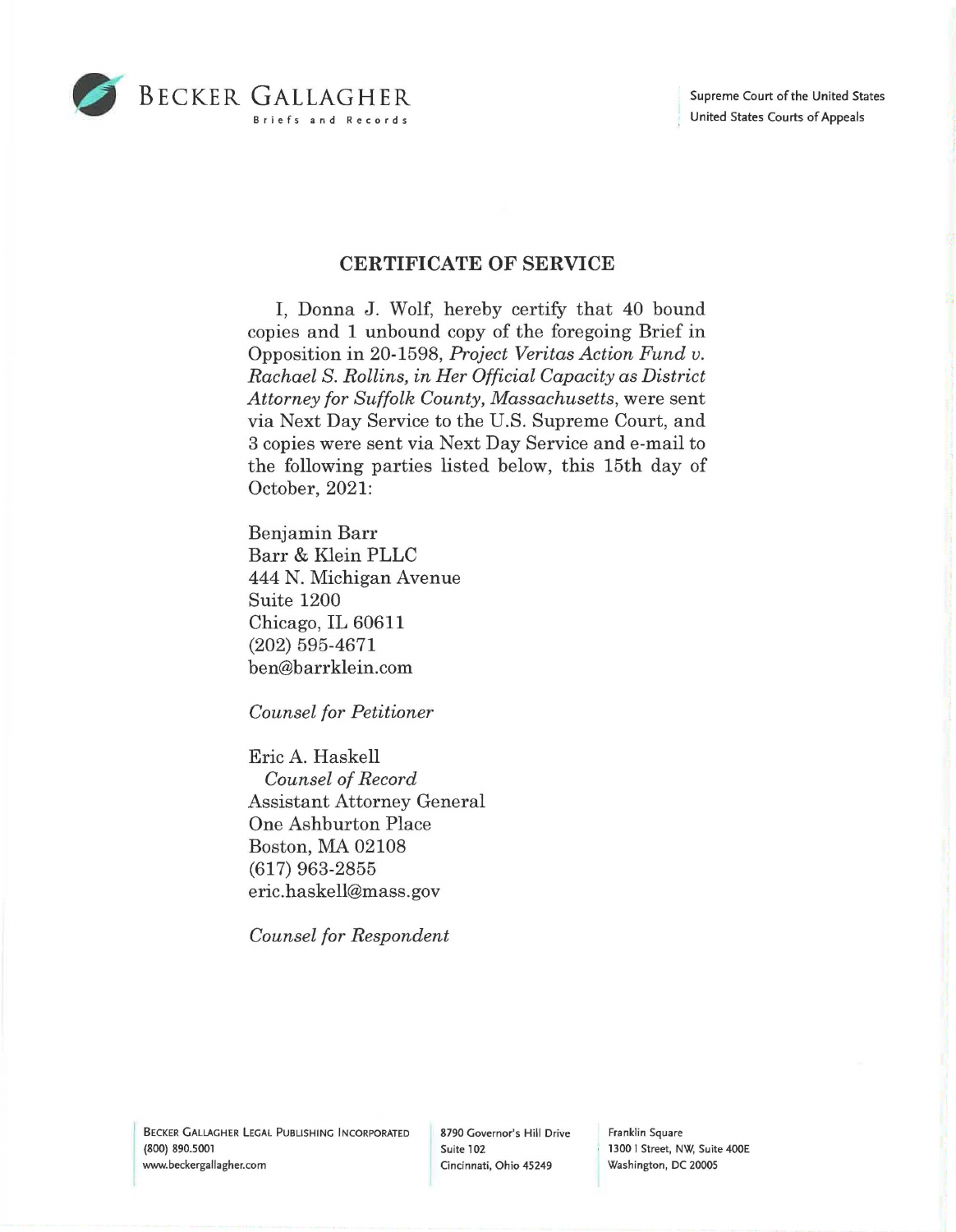

## **CERTIFICATE OF SERVICE**

I, Donna J. Wolf, hereby certify that 40 bound copies and 1 unbound copy of the foregoing Brief in Opposition in 20-1598, *Project Veritas Action Fund v. Rachael S. Rollins, in Her Official Capacity as District Attorney for Suffolk County, Massachusetts,* were sent via Next Day Service to the U.S. Supreme Court, and 3 copies were sent via Next Day Service and e-mail to the following parties listed below, this 15th day of October, 2021:

Benjamin Barr Barr & Klein PLLC 444 N. Michigan Avenue Suite 1200 Chicago, IL 60611 (202) 595-4671 ben@barrklein.com

*Counsel for Petitioner* 

Eric A. Haskell *Counsel of Record*  Assistant Attorney General One Ashburton Place Boston, MA 02108 (617) 963-2855 eric.haskell@mass.gov

*Counsel for Respondent* 

Franklin Square 1300 I Street, NW, Suite 400E Washington, DC 20005